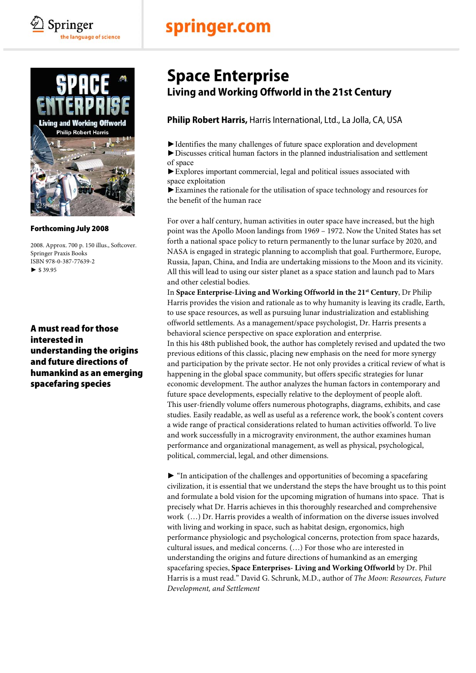# springer.com



Springer

the language of science

#### Forthcoming July 2008

2008. Approx. 700 p. 150 illus., Softcover. Springer Praxis Books ISBN 978-0-387-77639-2  $\blacktriangleright$  \$ 39.95

A must read for those interested in understanding the origins and future directions of humankind as an emerging spacefaring species

### **Space Enterprise Living and Working Offworld in the 21st Century**

### **Philip Robert Harris,** Harris International, Ltd., La Jolla, CA, USA

►Identifies the many challenges of future space exploration and development

►Discusses critical human factors in the planned industrialisation and settlement of space

►Explores important commercial, legal and political issues associated with space exploitation

►Examines the rationale for the utilisation of space technology and resources for the benefit of the human race

For over a half century, human activities in outer space have increased, but the high point was the Apollo Moon landings from 1969 – 1972. Now the United States has set forth a national space policy to return permanently to the lunar surface by 2020, and NASA is engaged in strategic planning to accomplish that goal. Furthermore, Europe, Russia, Japan, China, and India are undertaking missions to the Moon and its vicinity. All this will lead to using our sister planet as a space station and launch pad to Mars and other celestial bodies.

In **Space Enterprise-Living and Working Offworld in the 21st Century**, Dr Philip Harris provides the vision and rationale as to why humanity is leaving its cradle, Earth, to use space resources, as well as pursuing lunar industrialization and establishing offworld settlements. As a management/space psychologist, Dr. Harris presents a behavioral science perspective on space exploration and enterprise. In this his 48th published book, the author has completely revised and updated the two previous editions of this classic, placing new emphasis on the need for more synergy and participation by the private sector. He not only provides a critical review of what is happening in the global space community, but offers specific strategies for lunar economic development. The author analyzes the human factors in contemporary and future space developments, especially relative to the deployment of people aloft. This user-friendly volume offers numerous photographs, diagrams, exhibits, and case studies. Easily readable, as well as useful as a reference work, the book's content covers a wide range of practical considerations related to human activities offworld. To live and work successfully in a microgravity environment, the author examines human performance and organizational management, as well as physical, psychological, political, commercial, legal, and other dimensions.

► "In anticipation of the challenges and opportunities of becoming a spacefaring civilization, it is essential that we understand the steps the have brought us to this point and formulate a bold vision for the upcoming migration of humans into space. That is precisely what Dr. Harris achieves in this thoroughly researched and comprehensive work (…) Dr. Harris provides a wealth of information on the diverse issues involved with living and working in space, such as habitat design, ergonomics, high performance physiologic and psychological concerns, protection from space hazards, cultural issues, and medical concerns. (…) For those who are interested in understanding the origins and future directions of humankind as an emerging spacefaring species, **Space Enterprises- Living and Working Offworld** by Dr. Phil Harris is a must read." David G. Schrunk, M.D., author of *The Moon: Resources, Future Development, and Settlement*